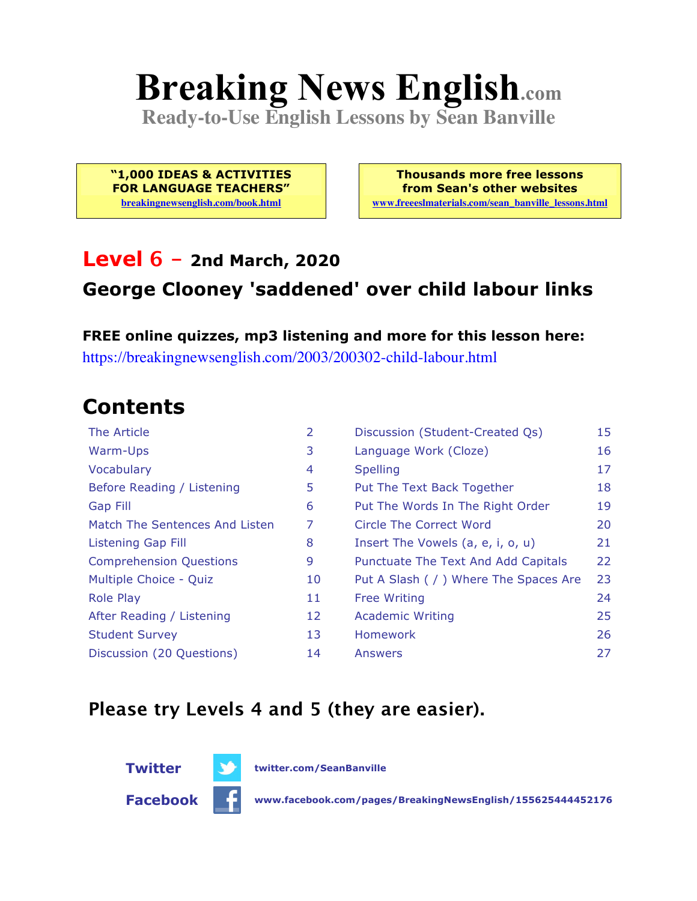# **Breaking News English.com**

**Ready-to-Use English Lessons by Sean Banville**

**"1,000 IDEAS & ACTIVITIES FOR LANGUAGE TEACHERS" breakingnewsenglish.com/book.html**

**Thousands more free lessons from Sean's other websites www.freeeslmaterials.com/sean\_banville\_lessons.html**

#### **Level 6 - 2nd March, 2020**

#### **George Clooney 'saddened' over child labour links**

**FREE online quizzes, mp3 listening and more for this lesson here:** https://breakingnewsenglish.com/2003/200302-child-labour.html

### **Contents**

| The Article                    | $\overline{2}$ | Discussion (Student-Created Qs)        | 15 |
|--------------------------------|----------------|----------------------------------------|----|
| Warm-Ups                       | 3              | Language Work (Cloze)                  | 16 |
| Vocabulary                     | 4              | <b>Spelling</b>                        | 17 |
| Before Reading / Listening     | 5              | Put The Text Back Together             | 18 |
| <b>Gap Fill</b>                | 6              | Put The Words In The Right Order       | 19 |
| Match The Sentences And Listen | 7              | Circle The Correct Word                | 20 |
| Listening Gap Fill             | 8              | Insert The Vowels (a, e, i, o, u)      | 21 |
| <b>Comprehension Questions</b> | 9              | Punctuate The Text And Add Capitals    | 22 |
| Multiple Choice - Quiz         | 10             | Put A Slash ( / ) Where The Spaces Are | 23 |
| <b>Role Play</b>               | 11             | <b>Free Writing</b>                    | 24 |
| After Reading / Listening      | 12             | <b>Academic Writing</b>                | 25 |
| <b>Student Survey</b>          | 13             | <b>Homework</b>                        | 26 |
| Discussion (20 Questions)      | 14             | Answers                                | 27 |

#### **Please try Levels 4 and 5 (they are easier).**

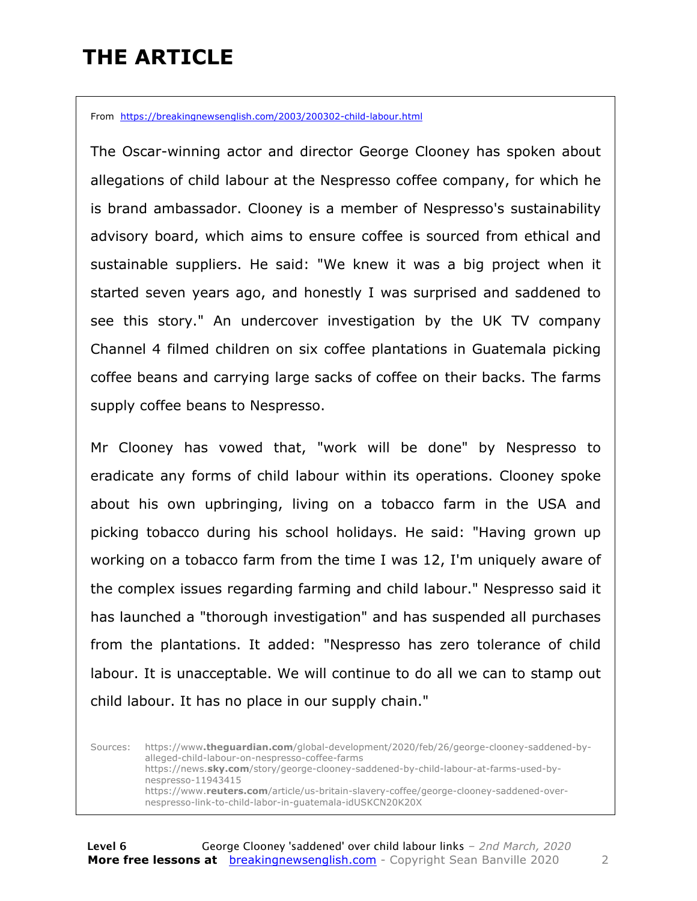### **THE ARTICLE**

From https://breakingnewsenglish.com/2003/200302-child-labour.html

The Oscar-winning actor and director George Clooney has spoken about allegations of child labour at the Nespresso coffee company, for which he is brand ambassador. Clooney is a member of Nespresso's sustainability advisory board, which aims to ensure coffee is sourced from ethical and sustainable suppliers. He said: "We knew it was a big project when it started seven years ago, and honestly I was surprised and saddened to see this story." An undercover investigation by the UK TV company Channel 4 filmed children on six coffee plantations in Guatemala picking coffee beans and carrying large sacks of coffee on their backs. The farms supply coffee beans to Nespresso.

Mr Clooney has vowed that, "work will be done" by Nespresso to eradicate any forms of child labour within its operations. Clooney spoke about his own upbringing, living on a tobacco farm in the USA and picking tobacco during his school holidays. He said: "Having grown up working on a tobacco farm from the time I was 12, I'm uniquely aware of the complex issues regarding farming and child labour." Nespresso said it has launched a "thorough investigation" and has suspended all purchases from the plantations. It added: "Nespresso has zero tolerance of child labour. It is unacceptable. We will continue to do all we can to stamp out child labour. It has no place in our supply chain."

Sources: https://www**.theguardian.com**/global-development/2020/feb/26/george-clooney-saddened-byalleged-child-labour-on-nespresso-coffee-farms https://news.**sky.com**/story/george-clooney-saddened-by-child-labour-at-farms-used-bynespresso-11943415 https://www.**reuters.com**/article/us-britain-slavery-coffee/george-clooney-saddened-overnespresso-link-to-child-labor-in-guatemala-idUSKCN20K20X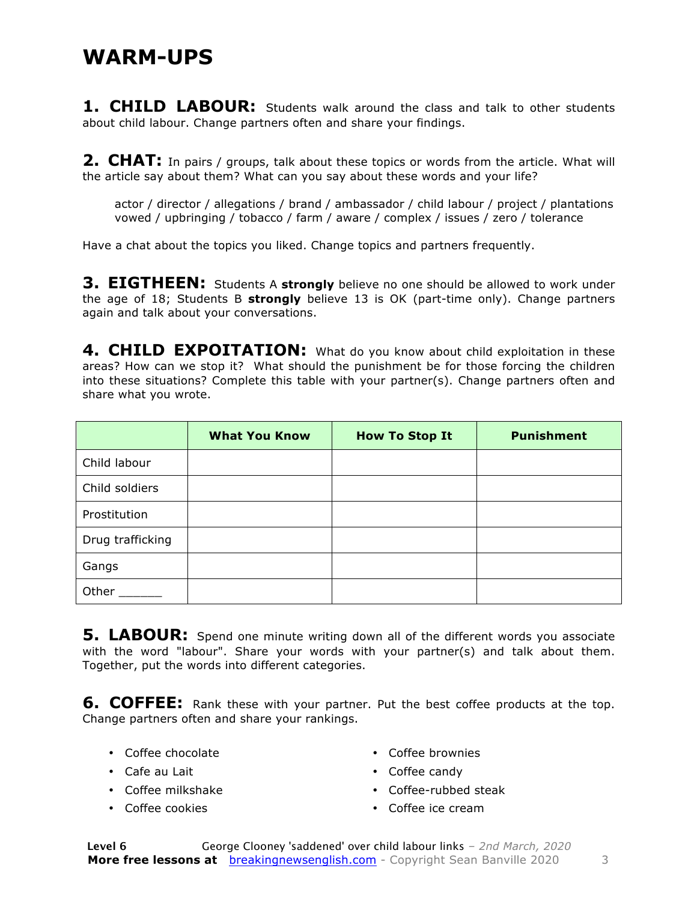#### **WARM-UPS**

**1. CHILD LABOUR:** Students walk around the class and talk to other students about child labour. Change partners often and share your findings.

**2. CHAT:** In pairs / groups, talk about these topics or words from the article. What will the article say about them? What can you say about these words and your life?

actor / director / allegations / brand / ambassador / child labour / project / plantations vowed / upbringing / tobacco / farm / aware / complex / issues / zero / tolerance

Have a chat about the topics you liked. Change topics and partners frequently.

**3. EIGTHEEN:** Students A strongly believe no one should be allowed to work under the age of 18; Students B **strongly** believe 13 is OK (part-time only). Change partners again and talk about your conversations.

**4. CHILD EXPOITATION:** What do you know about child exploitation in these areas? How can we stop it? What should the punishment be for those forcing the children into these situations? Complete this table with your partner(s). Change partners often and share what you wrote.

|                  | <b>What You Know</b> | <b>How To Stop It</b> | <b>Punishment</b> |
|------------------|----------------------|-----------------------|-------------------|
| Child labour     |                      |                       |                   |
| Child soldiers   |                      |                       |                   |
| Prostitution     |                      |                       |                   |
| Drug trafficking |                      |                       |                   |
| Gangs            |                      |                       |                   |
| Other            |                      |                       |                   |

**5. LABOUR:** Spend one minute writing down all of the different words you associate with the word "labour". Share your words with your partner(s) and talk about them. Together, put the words into different categories.

**6. COFFEE:** Rank these with your partner. Put the best coffee products at the top. Change partners often and share your rankings.

- Coffee chocolate
- Cafe au Lait
- Coffee milkshake
- Coffee cookies
- Coffee brownies
- Coffee candy
- Coffee-rubbed steak
- Coffee ice cream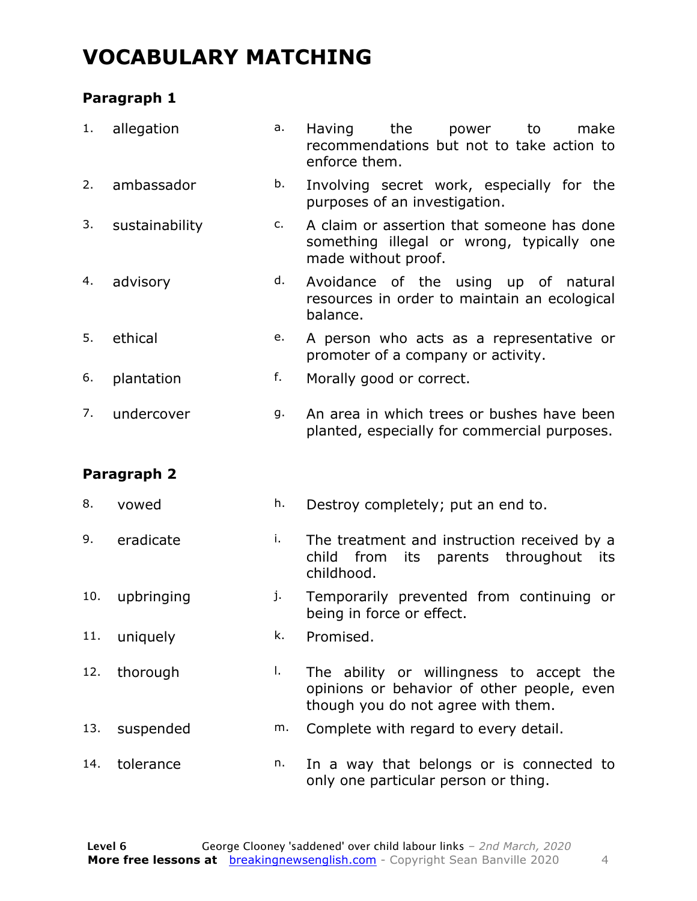### **VOCABULARY MATCHING**

#### **Paragraph 1**

| 1.  | allegation     | a. | Having<br>the<br>power<br>to<br>make<br>recommendations but not to take action to<br>enforce them.                           |
|-----|----------------|----|------------------------------------------------------------------------------------------------------------------------------|
| 2.  | ambassador     | b. | Involving secret work, especially for the<br>purposes of an investigation.                                                   |
| 3.  | sustainability | c. | A claim or assertion that someone has done<br>something illegal or wrong, typically one<br>made without proof.               |
| 4.  | advisory       | d. | Avoidance of the using up of natural<br>resources in order to maintain an ecological<br>balance.                             |
| 5.  | ethical        | e. | A person who acts as a representative or<br>promoter of a company or activity.                                               |
| 6.  | plantation     | f. | Morally good or correct.                                                                                                     |
| 7.  | undercover     | g. | An area in which trees or bushes have been<br>planted, especially for commercial purposes.                                   |
|     | Paragraph 2    |    |                                                                                                                              |
| 8.  | vowed          | h. | Destroy completely; put an end to.                                                                                           |
| 9.  | eradicate      | i. | The treatment and instruction received by a<br>parents throughout<br>child<br>from<br>its<br>its<br>childhood.               |
| 10. | upbringing     | j. | Temporarily prevented from continuing or<br>being in force or effect.                                                        |
| 11. | uniquely       | k. | Promised.                                                                                                                    |
| 12. | thorough       | I. | The ability or willingness to accept the<br>opinions or behavior of other people, even<br>though you do not agree with them. |
| 13. | suspended      | m. | Complete with regard to every detail.                                                                                        |
| 14. | tolerance      | n. | In a way that belongs or is connected to<br>only one particular person or thing.                                             |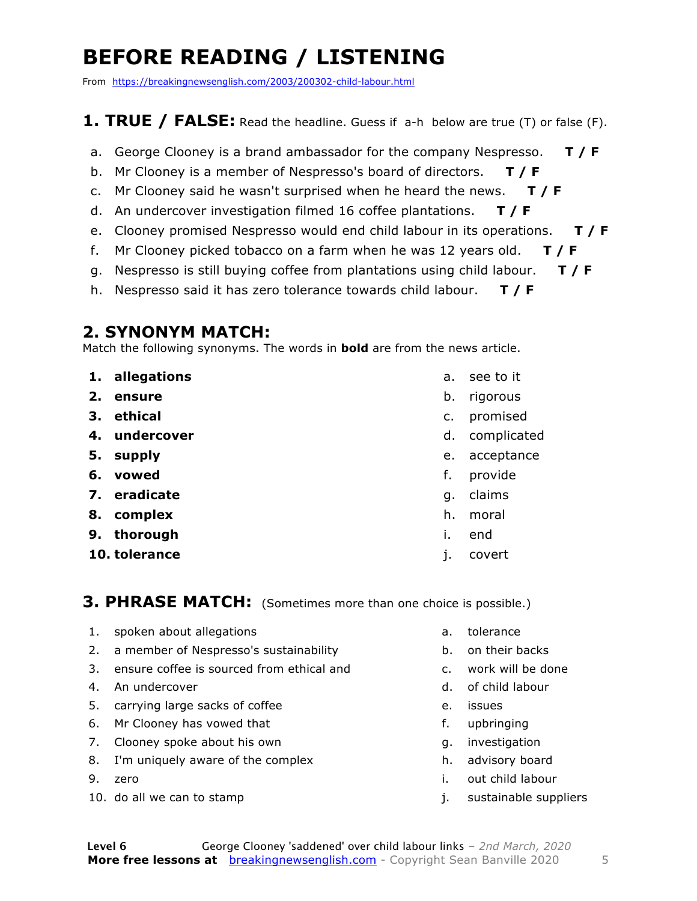### **BEFORE READING / LISTENING**

From https://breakingnewsenglish.com/2003/200302-child-labour.html

#### **1. TRUE / FALSE:** Read the headline. Guess if a-h below are true (T) or false (F).

- a. George Clooney is a brand ambassador for the company Nespresso. **T / F**
- b. Mr Clooney is a member of Nespresso's board of directors. **T / F**
- c. Mr Clooney said he wasn't surprised when he heard the news. **T / F**
- d. An undercover investigation filmed 16 coffee plantations. **T / F**
- e. Clooney promised Nespresso would end child labour in its operations. **T / F**
- f. Mr Clooney picked tobacco on a farm when he was 12 years old. **T / F**
- g. Nespresso is still buying coffee from plantations using child labour. **T / F**
- h. Nespresso said it has zero tolerance towards child labour. **T / F**

#### **2. SYNONYM MATCH:**

Match the following synonyms. The words in **bold** are from the news article.

- **1. allegations**
- **2. ensure**
- **3. ethical**
- **4. undercover**
- **5. supply**
- **6. vowed**
- **7. eradicate**
- **8. complex**
- **9. thorough**
- **10. tolerance**
- a. see to it
- b. rigorous
- c. promised
- d. complicated
- e. acceptance
- f. provide
- g. claims
- h. moral
- i. end
- j. covert

#### **3. PHRASE MATCH:** (Sometimes more than one choice is possible.)

- 1. spoken about allegations
- 2. a member of Nespresso's sustainability
- 3. ensure coffee is sourced from ethical and
- 4. An undercover
- 5. carrying large sacks of coffee
- 6. Mr Clooney has vowed that
- 7. Clooney spoke about his own
- 8. I'm uniquely aware of the complex
- 9. zero
- 10. do all we can to stamp
- a. tolerance
- b. on their backs
- c. work will be done
- d. of child labour
- e. issues
- f. upbringing
- g. investigation
- h. advisory board
- i. out child labour
- j. sustainable suppliers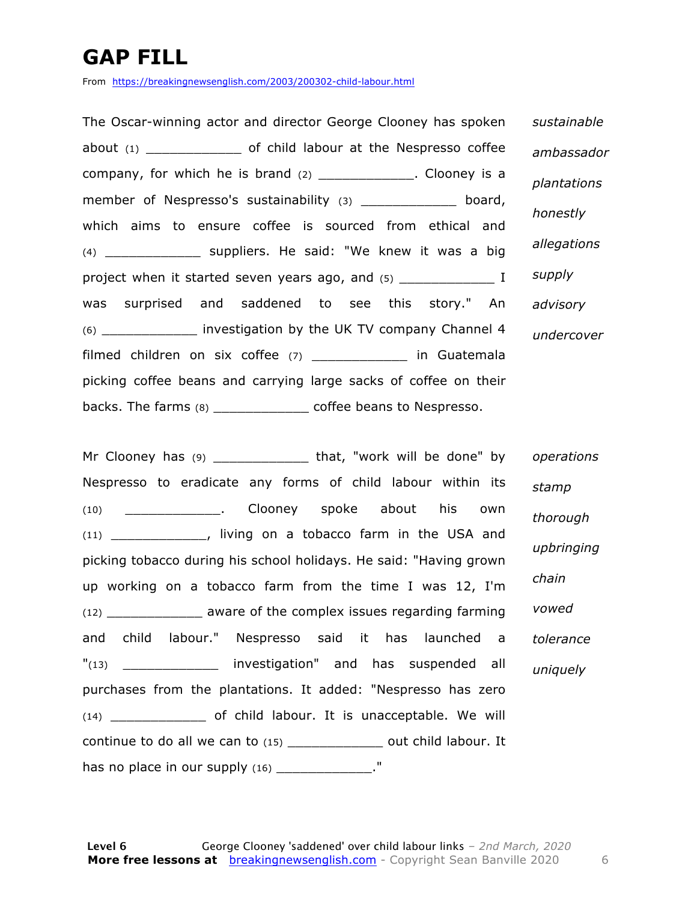### **GAP FILL**

From https://breakingnewsenglish.com/2003/200302-child-labour.html

The Oscar-winning actor and director George Clooney has spoken about (1) \_\_\_\_\_\_\_\_\_\_\_\_ of child labour at the Nespresso coffee company, for which he is brand  $(2)$  \_\_\_\_\_\_\_\_\_\_\_\_. Clooney is a member of Nespresso's sustainability (3) \_\_\_\_\_\_\_\_\_\_\_\_\_\_ board, which aims to ensure coffee is sourced from ethical and (4) \_\_\_\_\_\_\_\_\_\_\_\_ suppliers. He said: "We knew it was a big project when it started seven years ago, and (5) \_\_\_\_\_\_\_\_\_\_\_\_\_\_\_\_\_\_\_\_\_\_\_\_\_\_\_\_\_\_\_\_ was surprised and saddened to see this story." An (6) \_\_\_\_\_\_\_\_\_\_\_\_ investigation by the UK TV company Channel 4 filmed children on six coffee (7) \_\_\_\_\_\_\_\_\_\_\_\_ in Guatemala picking coffee beans and carrying large sacks of coffee on their backs. The farms (8) \_\_\_\_\_\_\_\_\_\_\_\_ coffee beans to Nespresso. *sustainable ambassador plantations honestly allegations supply advisory undercover*

Mr Clooney has (9) \_\_\_\_\_\_\_\_\_\_\_\_\_\_\_\_\_ that, "work will be done" by Nespresso to eradicate any forms of child labour within its (10) \_\_\_\_\_\_\_\_\_\_\_\_. Clooney spoke about his own (11) \_\_\_\_\_\_\_\_\_\_\_\_, living on a tobacco farm in the USA and picking tobacco during his school holidays. He said: "Having grown up working on a tobacco farm from the time I was 12, I'm (12) \_\_\_\_\_\_\_\_\_\_\_\_ aware of the complex issues regarding farming and child labour." Nespresso said it has launched a "(13) \_\_\_\_\_\_\_\_\_\_\_\_\_\_ investigation" and has suspended all purchases from the plantations. It added: "Nespresso has zero (14) \_\_\_\_\_\_\_\_\_\_\_\_ of child labour. It is unacceptable. We will continue to do all we can to (15) \_\_\_\_\_\_\_\_\_\_\_\_ out child labour. It has no place in our supply  $(16)$  \_\_\_\_\_\_\_\_\_\_\_\_\_." *operations stamp thorough upbringing chain vowed tolerance uniquely*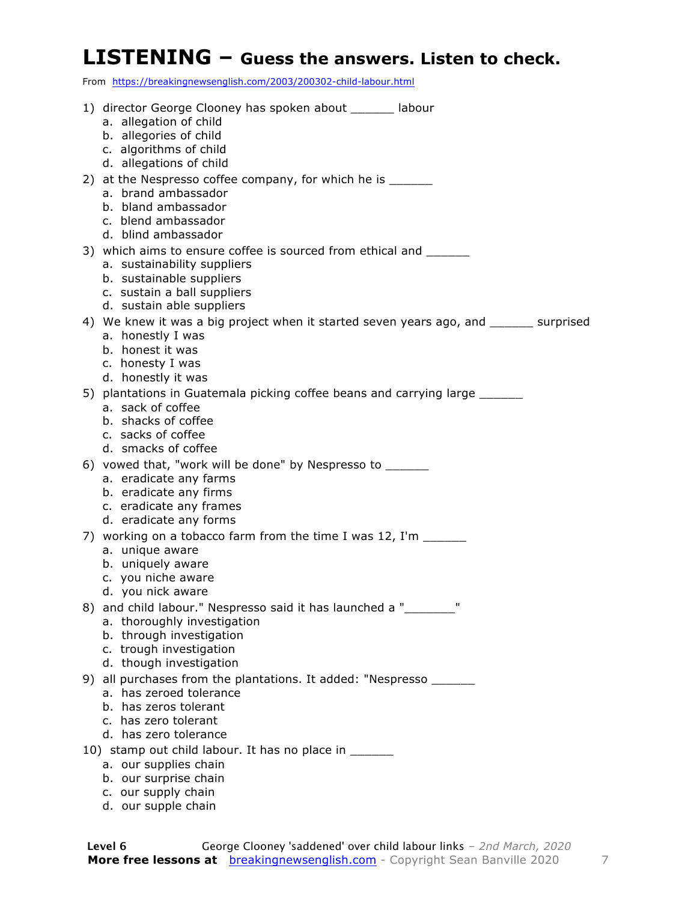#### **LISTENING – Guess the answers. Listen to check.**

From https://breakingnewsenglish.com/2003/200302-child-labour.html

| 1) director George Clooney has spoken about ______ labour<br>a. allegation of child            |
|------------------------------------------------------------------------------------------------|
| b. allegories of child                                                                         |
| c. algorithms of child<br>d. allegations of child                                              |
| 2) at the Nespresso coffee company, for which he is _______                                    |
| a. brand ambassador                                                                            |
| b. bland ambassador<br>c. blend ambassador                                                     |
| d. blind ambassador                                                                            |
| 3) which aims to ensure coffee is sourced from ethical and<br>a. sustainability suppliers      |
| b. sustainable suppliers                                                                       |
| c. sustain a ball suppliers<br>d. sustain able suppliers                                       |
| 4) We knew it was a big project when it started seven years ago, and _______ surprised         |
| a. honestly I was                                                                              |
| b. honest it was<br>c. honesty I was                                                           |
| d. honestly it was                                                                             |
| 5) plantations in Guatemala picking coffee beans and carrying large _______                    |
| a. sack of coffee<br>b. shacks of coffee                                                       |
| c. sacks of coffee                                                                             |
| d. smacks of coffee                                                                            |
| 6) vowed that, "work will be done" by Nespresso to _______<br>a. eradicate any farms           |
| b. eradicate any firms                                                                         |
| c. eradicate any frames<br>d. eradicate any forms                                              |
| 7) working on a tobacco farm from the time I was 12, I'm ______                                |
| a. unique aware                                                                                |
| b. uniquely aware<br>c. you niche aware                                                        |
| d. you nick aware                                                                              |
| 8) and child labour." Nespresso said it has launched a "_______<br>a. thoroughly investigation |
| b. through investigation                                                                       |
| c. trough investigation                                                                        |
| d. though investigation<br>9) all purchases from the plantations. It added: "Nespresso _______ |
| a. has zeroed tolerance                                                                        |
| b. has zeros tolerant<br>c. has zero tolerant                                                  |
| d. has zero tolerance                                                                          |
| 10) stamp out child labour. It has no place in _____                                           |
| a. our supplies chain<br>b. our surprise chain                                                 |
| c. our supply chain                                                                            |

d. our supple chain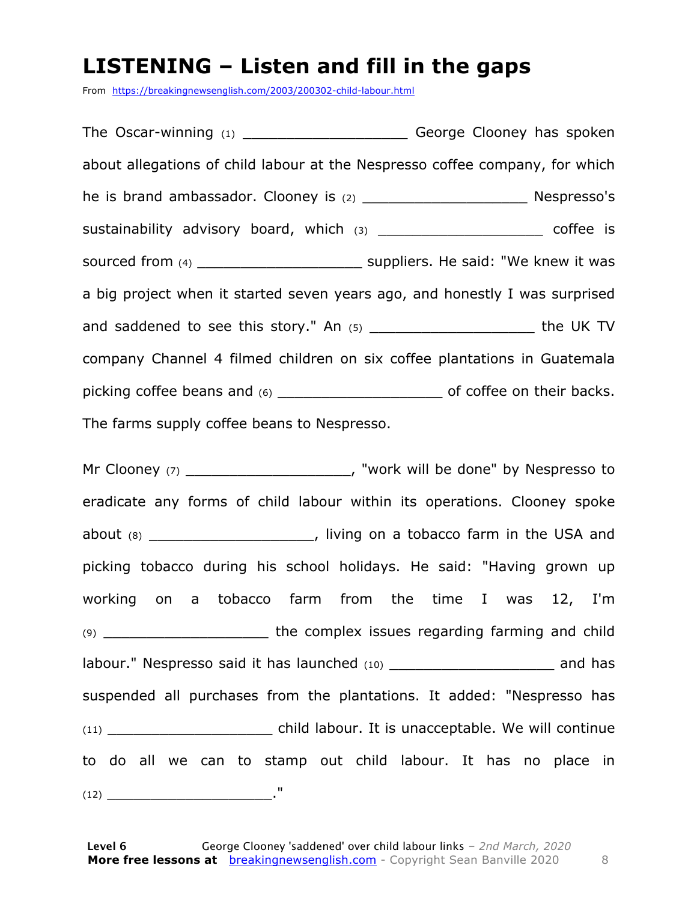### **LISTENING – Listen and fill in the gaps**

From https://breakingnewsenglish.com/2003/200302-child-labour.html

The Oscar-winning (1) \_\_\_\_\_\_\_\_\_\_\_\_\_\_\_\_\_\_\_\_\_\_\_\_\_George Clooney has spoken about allegations of child labour at the Nespresso coffee company, for which he is brand ambassador. Clooney is (2) The state of the Supersso's Nespresso's sustainability advisory board, which (3) \_\_\_\_\_\_\_\_\_\_\_\_\_\_\_\_\_\_\_\_\_\_\_ coffee is sourced from (4)  $\qquad \qquad$  suppliers. He said: "We knew it was a big project when it started seven years ago, and honestly I was surprised and saddened to see this story." An (5) \_\_\_\_\_\_\_\_\_\_\_\_\_\_\_\_\_\_\_ the UK TV company Channel 4 filmed children on six coffee plantations in Guatemala picking coffee beans and (6) \_\_\_\_\_\_\_\_\_\_\_\_\_\_\_\_\_\_\_ of coffee on their backs. The farms supply coffee beans to Nespresso.

Mr Clooney (7) The Clooney (7) The Clooney (7) All the done" by Nespresso to eradicate any forms of child labour within its operations. Clooney spoke about  $(8)$  \_\_\_\_\_\_\_\_\_\_\_\_\_\_\_\_\_\_\_\_\_, living on a tobacco farm in the USA and picking tobacco during his school holidays. He said: "Having grown up working on a tobacco farm from the time I was 12, I'm (9) \_\_\_\_\_\_\_\_\_\_\_\_\_\_\_\_\_\_\_ the complex issues regarding farming and child labour." Nespresso said it has launched (10) and has and has suspended all purchases from the plantations. It added: "Nespresso has (11) child labour. It is unacceptable. We will continue to do all we can to stamp out child labour. It has no place in (12) \_\_\_\_\_\_\_\_\_\_\_\_\_\_\_\_\_\_\_."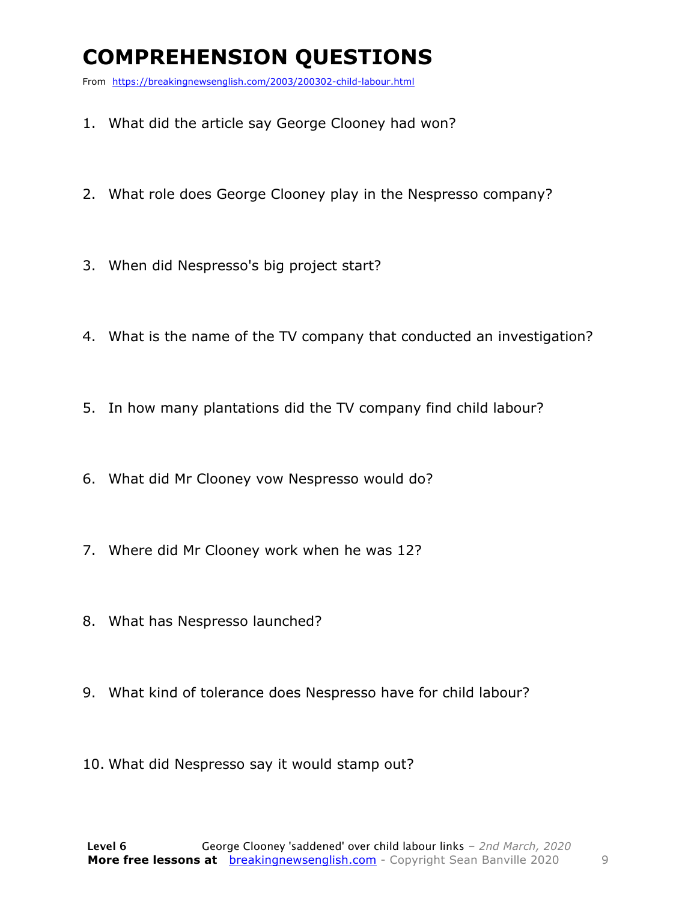### **COMPREHENSION QUESTIONS**

From https://breakingnewsenglish.com/2003/200302-child-labour.html

- 1. What did the article say George Clooney had won?
- 2. What role does George Clooney play in the Nespresso company?
- 3. When did Nespresso's big project start?
- 4. What is the name of the TV company that conducted an investigation?
- 5. In how many plantations did the TV company find child labour?
- 6. What did Mr Clooney vow Nespresso would do?
- 7. Where did Mr Clooney work when he was 12?
- 8. What has Nespresso launched?
- 9. What kind of tolerance does Nespresso have for child labour?
- 10. What did Nespresso say it would stamp out?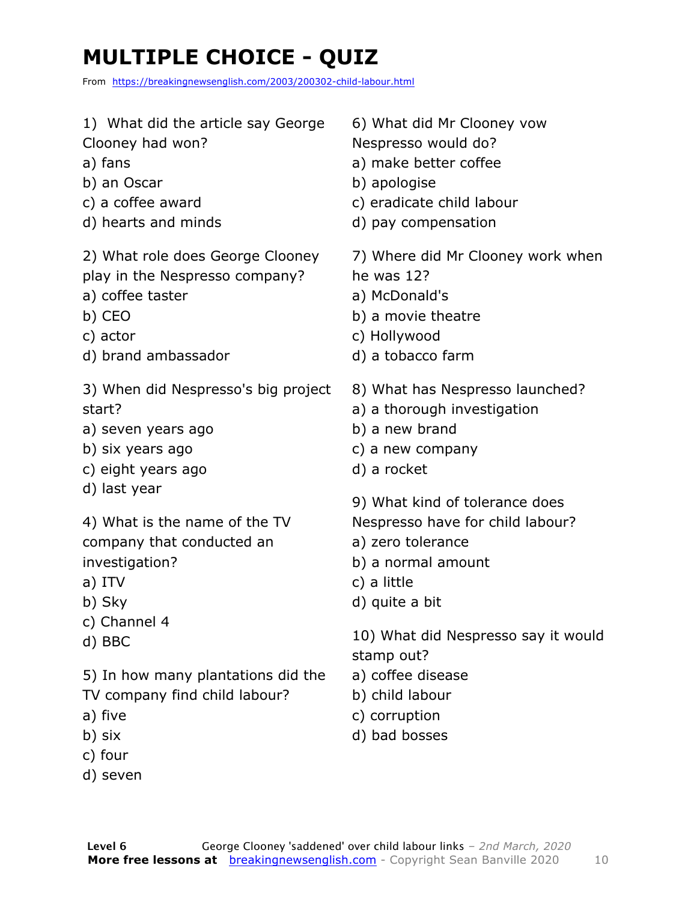### **MULTIPLE CHOICE - QUIZ**

From https://breakingnewsenglish.com/2003/200302-child-labour.html

| 1) What did the article say George                                                                                                         | 6) What did Mr Clooney vow                                                                                                                                                            |
|--------------------------------------------------------------------------------------------------------------------------------------------|---------------------------------------------------------------------------------------------------------------------------------------------------------------------------------------|
| Clooney had won?                                                                                                                           | Nespresso would do?                                                                                                                                                                   |
| a) fans                                                                                                                                    | a) make better coffee                                                                                                                                                                 |
| b) an Oscar                                                                                                                                | b) apologise                                                                                                                                                                          |
| c) a coffee award                                                                                                                          | c) eradicate child labour                                                                                                                                                             |
| d) hearts and minds                                                                                                                        | d) pay compensation                                                                                                                                                                   |
| 2) What role does George Clooney                                                                                                           | 7) Where did Mr Clooney work when                                                                                                                                                     |
| play in the Nespresso company?                                                                                                             | he was 12?                                                                                                                                                                            |
| a) coffee taster                                                                                                                           | a) McDonald's                                                                                                                                                                         |
| b) CEO                                                                                                                                     | b) a movie theatre                                                                                                                                                                    |
| c) actor                                                                                                                                   | c) Hollywood                                                                                                                                                                          |
| d) brand ambassador                                                                                                                        | d) a tobacco farm                                                                                                                                                                     |
| 3) When did Nespresso's big project                                                                                                        | 8) What has Nespresso launched?                                                                                                                                                       |
| start?                                                                                                                                     | a) a thorough investigation                                                                                                                                                           |
| a) seven years ago                                                                                                                         | b) a new brand                                                                                                                                                                        |
| b) six years ago                                                                                                                           | c) a new company                                                                                                                                                                      |
| c) eight years ago                                                                                                                         | d) a rocket                                                                                                                                                                           |
| d) last year<br>4) What is the name of the TV<br>company that conducted an<br>investigation?<br>a) ITV<br>b) Sky<br>c) Channel 4<br>d) BBC | 9) What kind of tolerance does<br>Nespresso have for child labour?<br>a) zero tolerance<br>b) a normal amount<br>c) a little<br>d) quite a bit<br>10) What did Nespresso say it would |
| 5) In how many plantations did the                                                                                                         | stamp out?                                                                                                                                                                            |
| TV company find child labour?                                                                                                              | a) coffee disease                                                                                                                                                                     |
| a) five                                                                                                                                    | b) child labour                                                                                                                                                                       |
| b) six                                                                                                                                     | c) corruption                                                                                                                                                                         |
| c) four                                                                                                                                    | d) bad bosses                                                                                                                                                                         |

d) seven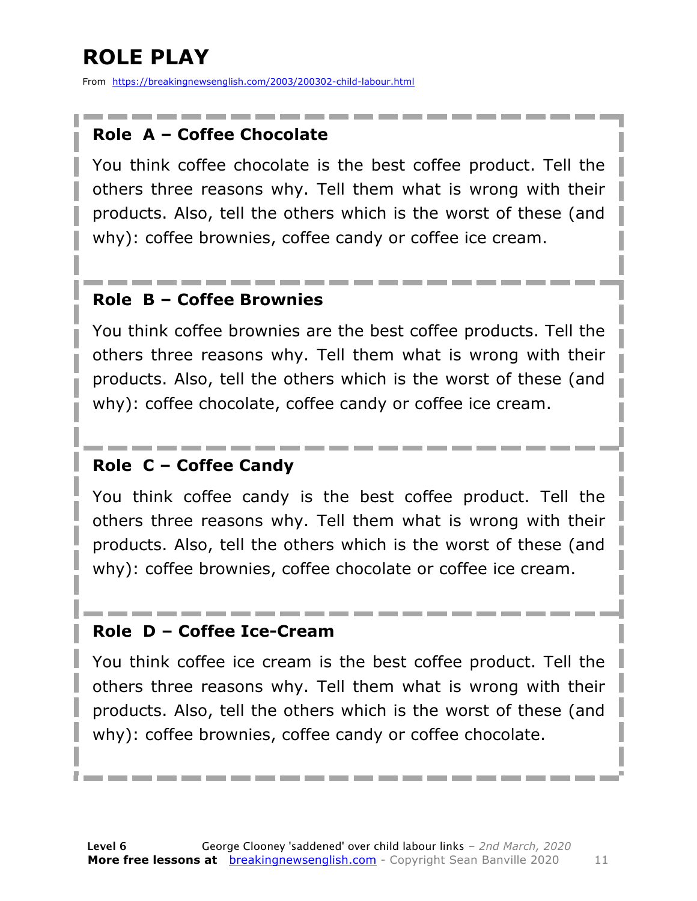### **ROLE PLAY**

From https://breakingnewsenglish.com/2003/200302-child-labour.html

#### **Role A – Coffee Chocolate**

You think coffee chocolate is the best coffee product. Tell the others three reasons why. Tell them what is wrong with their products. Also, tell the others which is the worst of these (and why): coffee brownies, coffee candy or coffee ice cream.

#### **Role B – Coffee Brownies**

You think coffee brownies are the best coffee products. Tell the others three reasons why. Tell them what is wrong with their products. Also, tell the others which is the worst of these (and why): coffee chocolate, coffee candy or coffee ice cream.

#### **Role C – Coffee Candy**

You think coffee candy is the best coffee product. Tell the others three reasons why. Tell them what is wrong with their products. Also, tell the others which is the worst of these (and why): coffee brownies, coffee chocolate or coffee ice cream.

#### **Role D – Coffee Ice-Cream**

You think coffee ice cream is the best coffee product. Tell the others three reasons why. Tell them what is wrong with their products. Also, tell the others which is the worst of these (and why): coffee brownies, coffee candy or coffee chocolate.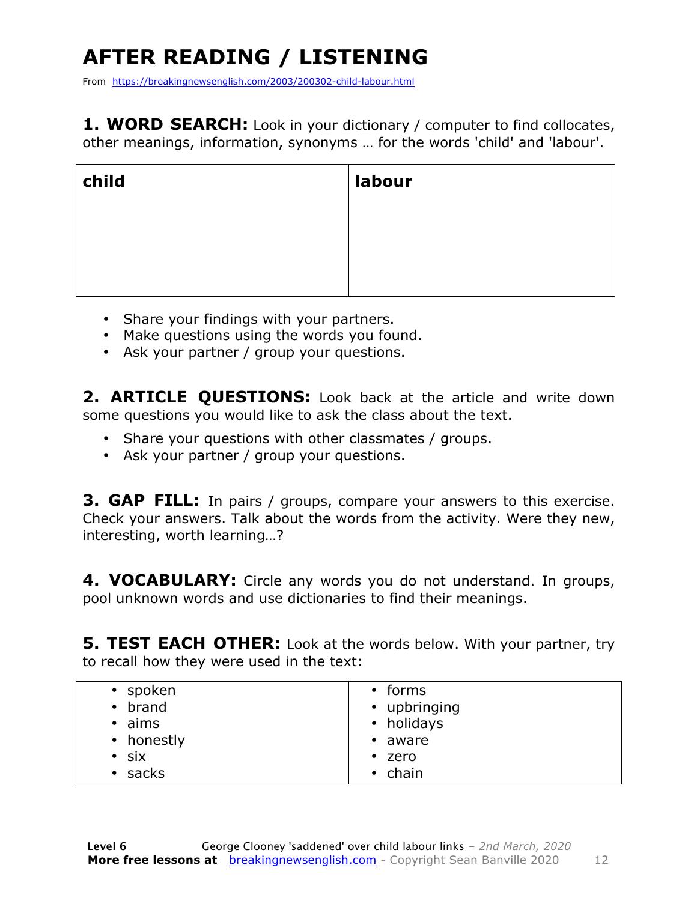## **AFTER READING / LISTENING**

From https://breakingnewsenglish.com/2003/200302-child-labour.html

**1. WORD SEARCH:** Look in your dictionary / computer to find collocates, other meanings, information, synonyms … for the words 'child' and 'labour'.

| child | labour |
|-------|--------|
|       |        |
|       |        |
|       |        |

- Share your findings with your partners.
- Make questions using the words you found.
- Ask your partner / group your questions.

2. **ARTICLE OUESTIONS:** Look back at the article and write down some questions you would like to ask the class about the text.

- Share your questions with other classmates / groups.
- Ask your partner / group your questions.

**3. GAP FILL:** In pairs / groups, compare your answers to this exercise. Check your answers. Talk about the words from the activity. Were they new, interesting, worth learning…?

**4. VOCABULARY:** Circle any words you do not understand. In groups, pool unknown words and use dictionaries to find their meanings.

**5. TEST EACH OTHER:** Look at the words below. With your partner, try to recall how they were used in the text: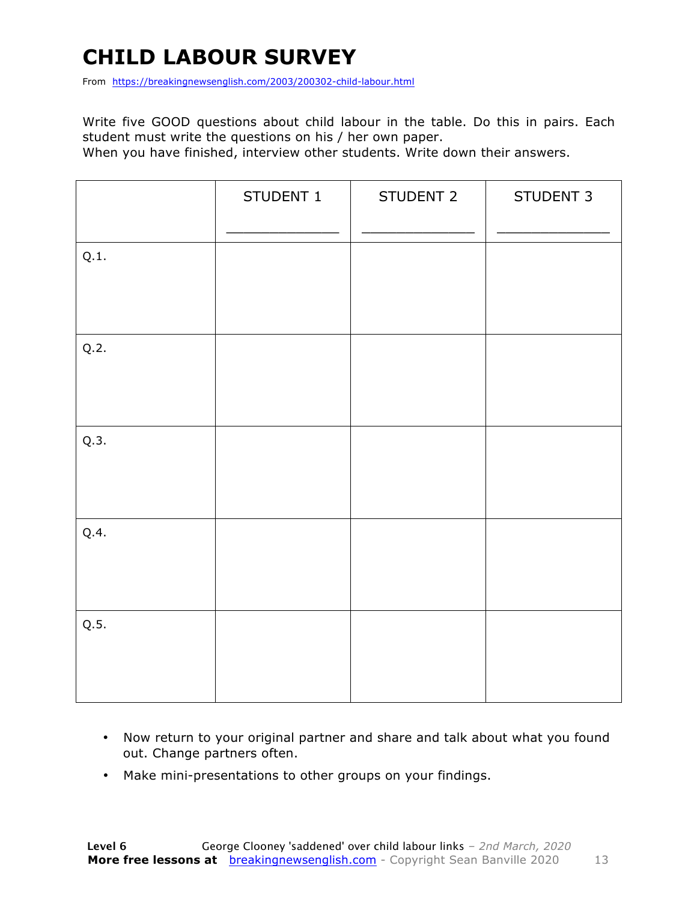### **CHILD LABOUR SURVEY**

From https://breakingnewsenglish.com/2003/200302-child-labour.html

Write five GOOD questions about child labour in the table. Do this in pairs. Each student must write the questions on his / her own paper.

When you have finished, interview other students. Write down their answers.

|      | STUDENT 1 | STUDENT 2 | STUDENT 3 |
|------|-----------|-----------|-----------|
| Q.1. |           |           |           |
| Q.2. |           |           |           |
| Q.3. |           |           |           |
| Q.4. |           |           |           |
| Q.5. |           |           |           |

- Now return to your original partner and share and talk about what you found out. Change partners often.
- Make mini-presentations to other groups on your findings.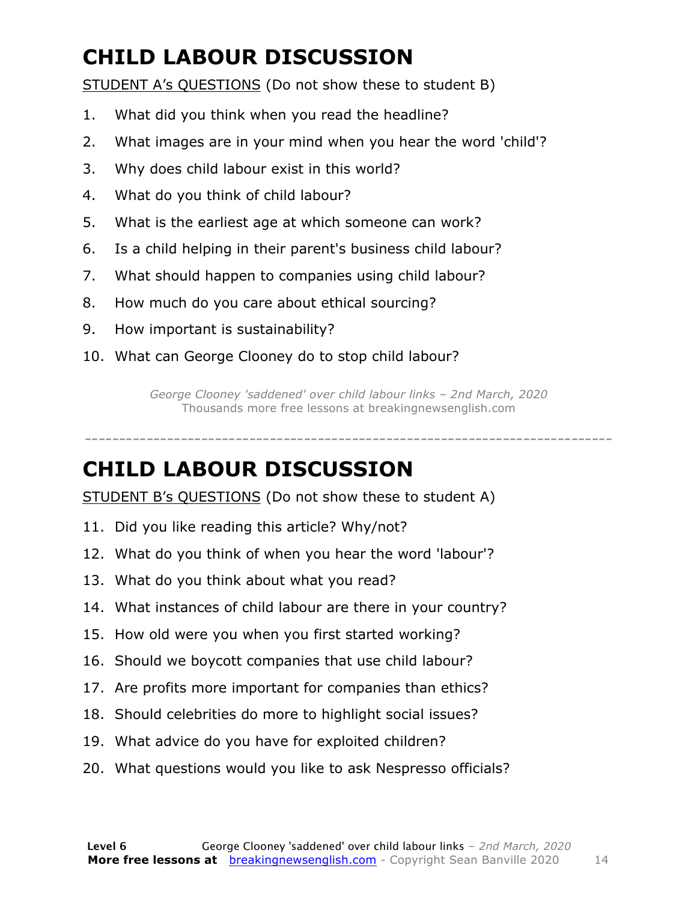### **CHILD LABOUR DISCUSSION**

STUDENT A's QUESTIONS (Do not show these to student B)

- 1. What did you think when you read the headline?
- 2. What images are in your mind when you hear the word 'child'?
- 3. Why does child labour exist in this world?
- 4. What do you think of child labour?
- 5. What is the earliest age at which someone can work?
- 6. Is a child helping in their parent's business child labour?
- 7. What should happen to companies using child labour?
- 8. How much do you care about ethical sourcing?
- 9. How important is sustainability?
- 10. What can George Clooney do to stop child labour?

*George Clooney 'saddened' over child labour links – 2nd March, 2020* Thousands more free lessons at breakingnewsenglish.com

#### -----------------------------------------------------------------------------

#### **CHILD LABOUR DISCUSSION**

STUDENT B's QUESTIONS (Do not show these to student A)

- 11. Did you like reading this article? Why/not?
- 12. What do you think of when you hear the word 'labour'?
- 13. What do you think about what you read?
- 14. What instances of child labour are there in your country?
- 15. How old were you when you first started working?
- 16. Should we boycott companies that use child labour?
- 17. Are profits more important for companies than ethics?
- 18. Should celebrities do more to highlight social issues?
- 19. What advice do you have for exploited children?
- 20. What questions would you like to ask Nespresso officials?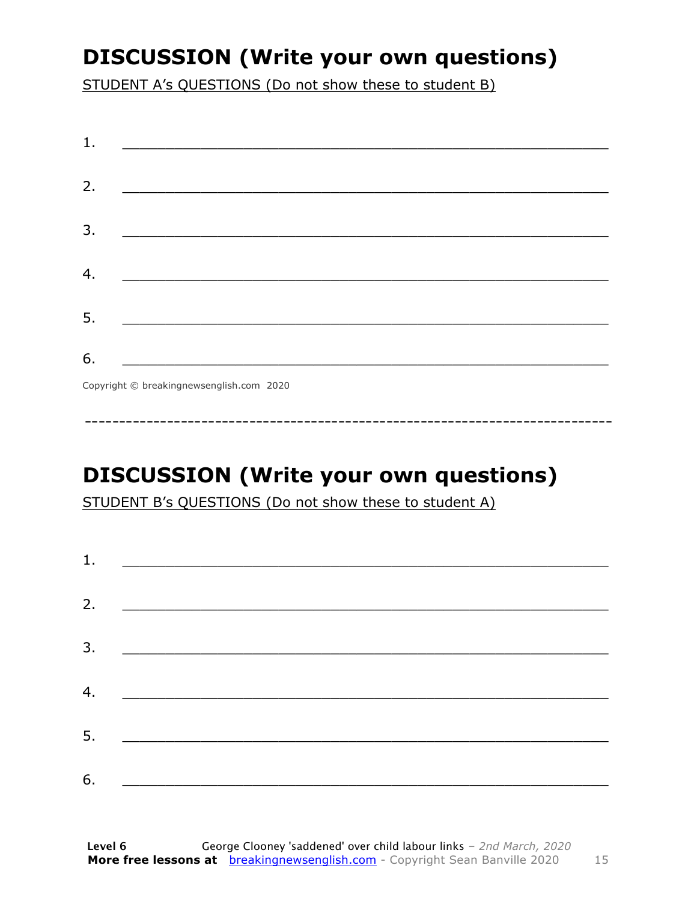### **DISCUSSION (Write your own questions)**

STUDENT A's QUESTIONS (Do not show these to student B)

| 1. |                                                                                                                          |
|----|--------------------------------------------------------------------------------------------------------------------------|
| 2. |                                                                                                                          |
|    | <u> 1989 - Johann John Stone, mars et al. (b. 1989)</u>                                                                  |
| 3. | <u> 1980 - Johann John Stone, mensk politik (d. 1980)</u>                                                                |
|    |                                                                                                                          |
| 4. |                                                                                                                          |
| 5. | <u> 1980 - Johann John Stone, markin fan it fjort fan it fjort fan it fjort fan it fjort fan it fjort fan it fjort f</u> |
|    |                                                                                                                          |
| 6. | <u> 1989 - Johann Barbara, martxa alemani</u> ar arte                                                                    |
|    | $Convriath \odot hraskinanawsanalich com 2020$                                                                           |

Copyright © breakingnewsenglish.com 2020

### **DISCUSSION (Write your own questions)**

STUDENT B's QUESTIONS (Do not show these to student A)

| 1. |                                                                                                                         |  |  |
|----|-------------------------------------------------------------------------------------------------------------------------|--|--|
|    |                                                                                                                         |  |  |
| 2. | <u> 1980 - Andrea Stationer, fransk politiker (d. 1980)</u>                                                             |  |  |
| 3. |                                                                                                                         |  |  |
|    |                                                                                                                         |  |  |
| 4. | <u> 1980 - Jan Samuel Barbara, margaret eta idazlea (h. 1980).</u>                                                      |  |  |
| 5. | <u> 1986 - Johann Stoff, deutscher Stoffen und der Stoffen und der Stoffen und der Stoffen und der Stoffen und der </u> |  |  |
|    |                                                                                                                         |  |  |
| 6. | <u> 1989 - Johann John Stone, market fan it ferskearre fan it ferskearre fan it ferskearre fan it ferskearre fan i</u>  |  |  |

15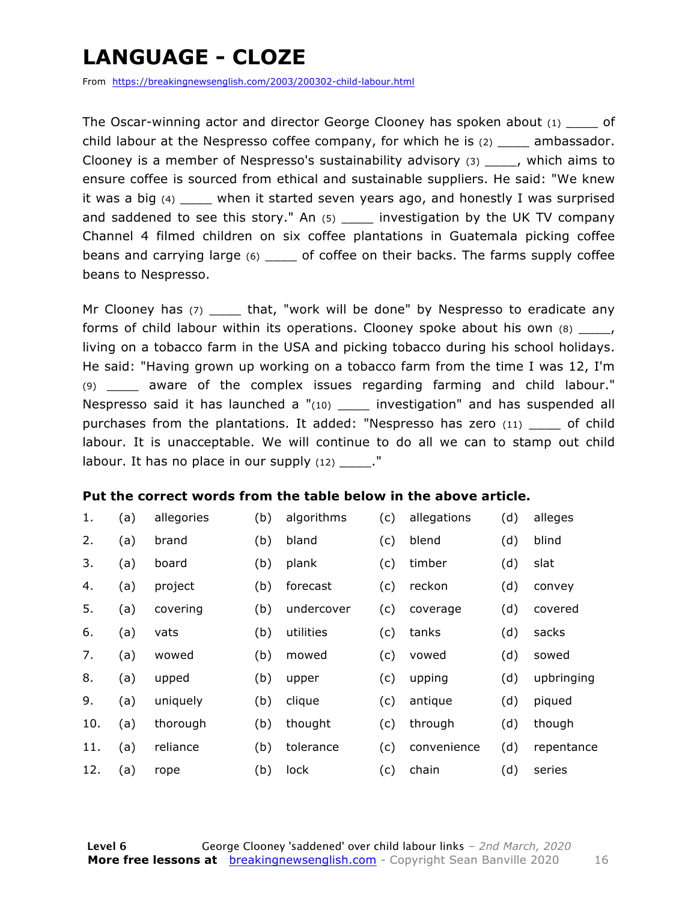### **LANGUAGE - CLOZE**

From https://breakingnewsenglish.com/2003/200302-child-labour.html

The Oscar-winning actor and director George Clooney has spoken about  $(1)$  of child labour at the Nespresso coffee company, for which he is (2) \_\_\_\_ ambassador. Clooney is a member of Nespresso's sustainability advisory (3) \_\_\_\_, which aims to ensure coffee is sourced from ethical and sustainable suppliers. He said: "We knew it was a big (4) \_\_\_\_ when it started seven years ago, and honestly I was surprised and saddened to see this story." An  $(5)$  \_\_\_\_ investigation by the UK TV company Channel 4 filmed children on six coffee plantations in Guatemala picking coffee beans and carrying large (6) \_\_\_\_ of coffee on their backs. The farms supply coffee beans to Nespresso.

Mr Clooney has (7) \_\_\_\_\_ that, "work will be done" by Nespresso to eradicate any forms of child labour within its operations. Clooney spoke about his own (8)  $\blacksquare$ , living on a tobacco farm in the USA and picking tobacco during his school holidays. He said: "Having grown up working on a tobacco farm from the time I was 12, I'm (9) \_\_\_\_ aware of the complex issues regarding farming and child labour." Nespresso said it has launched a  $"(10)$  investigation" and has suspended all purchases from the plantations. It added: "Nespresso has zero (11) of child labour. It is unacceptable. We will continue to do all we can to stamp out child labour. It has no place in our supply  $(12)$  ."

#### **Put the correct words from the table below in the above article.**

| 1.  | (a) | allegories | (b) | algorithms | (c) | allegations | (d) | alleges    |
|-----|-----|------------|-----|------------|-----|-------------|-----|------------|
| 2.  | (a) | brand      | (b) | bland      | (c) | blend       | (d) | blind      |
| 3.  | (a) | board      | (b) | plank      | (c) | timber      | (d) | slat       |
| 4.  | (a) | project    | (b) | forecast   | (c) | reckon      | (d) | convey     |
| 5.  | (a) | covering   | (b) | undercover | (c) | coverage    | (d) | covered    |
| 6.  | (a) | vats       | (b) | utilities  | (c) | tanks       | (d) | sacks      |
| 7.  | (a) | wowed      | (b) | mowed      | (c) | vowed       | (d) | sowed      |
| 8.  | (a) | upped      | (b) | upper      | (c) | upping      | (d) | upbringing |
| 9.  | (a) | uniquely   | (b) | clique     | (c) | antique     | (d) | piqued     |
| 10. | (a) | thorough   | (b) | thought    | (c) | through     | (d) | though     |
| 11. | (a) | reliance   | (b) | tolerance  | (c) | convenience | (d) | repentance |
| 12. | (a) | rope       | (b) | lock       | (c) | chain       | (d) | series     |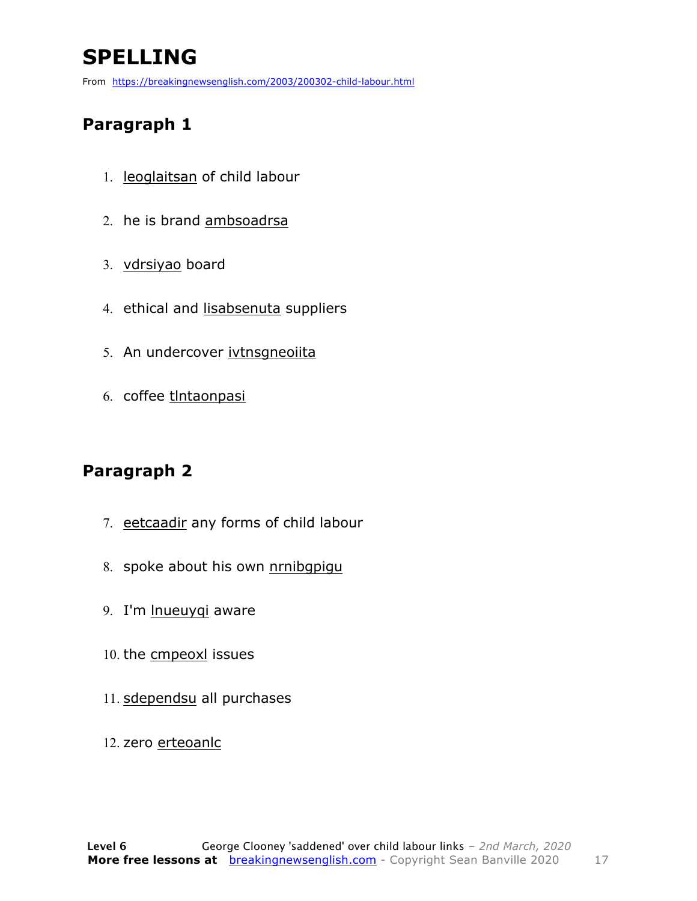### **SPELLING**

From https://breakingnewsenglish.com/2003/200302-child-labour.html

#### **Paragraph 1**

- 1. leoglaitsan of child labour
- 2. he is brand ambsoadrsa
- 3. vdrsiyao board
- 4. ethical and lisabsenuta suppliers
- 5. An undercover ivtnsgneoiita
- 6. coffee tlntaonpasi

#### **Paragraph 2**

- 7. eetcaadir any forms of child labour
- 8. spoke about his own nrnibgpigu
- 9. I'm lnueuyqi aware
- 10. the cmpeoxl issues
- 11. sdependsu all purchases
- 12. zero erteoanlc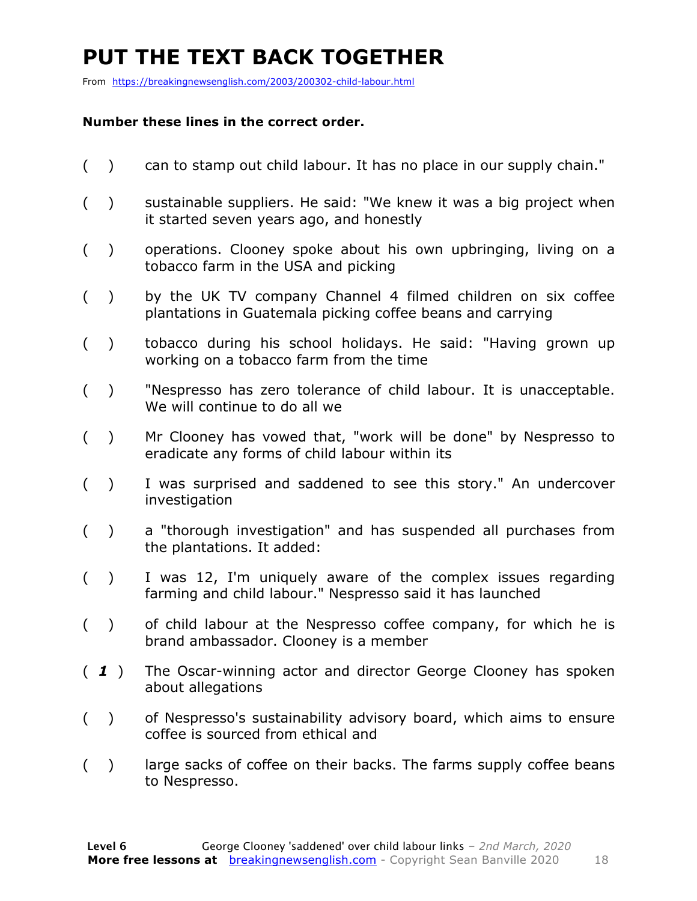### **PUT THE TEXT BACK TOGETHER**

From https://breakingnewsenglish.com/2003/200302-child-labour.html

#### **Number these lines in the correct order.**

- ( ) can to stamp out child labour. It has no place in our supply chain."
- ( ) sustainable suppliers. He said: "We knew it was a big project when it started seven years ago, and honestly
- ( ) operations. Clooney spoke about his own upbringing, living on a tobacco farm in the USA and picking
- ( ) by the UK TV company Channel 4 filmed children on six coffee plantations in Guatemala picking coffee beans and carrying
- ( ) tobacco during his school holidays. He said: "Having grown up working on a tobacco farm from the time
- ( ) "Nespresso has zero tolerance of child labour. It is unacceptable. We will continue to do all we
- ( ) Mr Clooney has vowed that, "work will be done" by Nespresso to eradicate any forms of child labour within its
- ( ) I was surprised and saddened to see this story." An undercover investigation
- ( ) a "thorough investigation" and has suspended all purchases from the plantations. It added:
- ( ) I was 12, I'm uniquely aware of the complex issues regarding farming and child labour." Nespresso said it has launched
- ( ) of child labour at the Nespresso coffee company, for which he is brand ambassador. Clooney is a member
- ( *1* ) The Oscar-winning actor and director George Clooney has spoken about allegations
- ( ) of Nespresso's sustainability advisory board, which aims to ensure coffee is sourced from ethical and
- () large sacks of coffee on their backs. The farms supply coffee beans to Nespresso.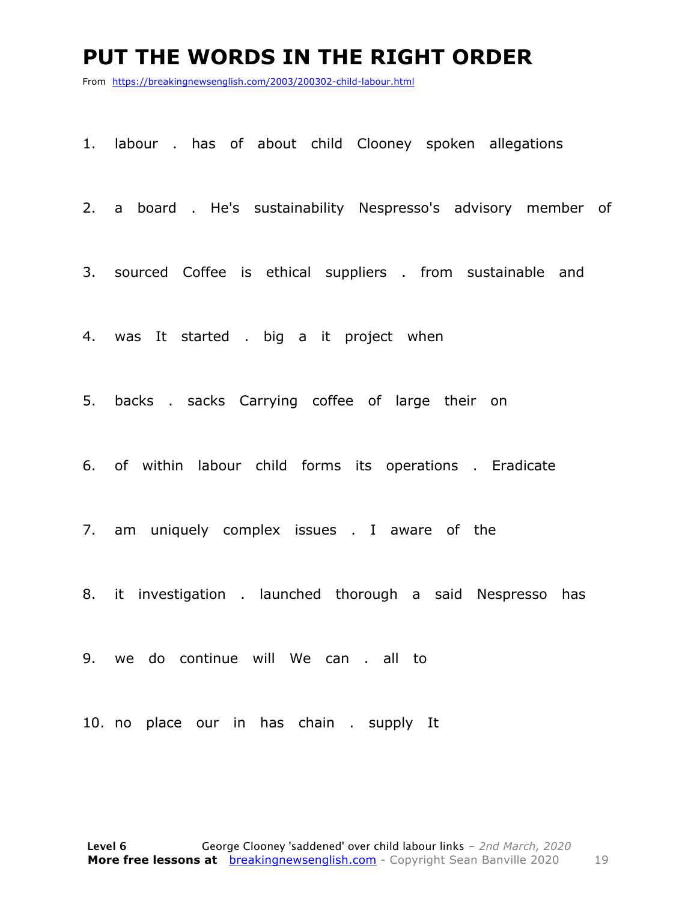#### **PUT THE WORDS IN THE RIGHT ORDER**

From https://breakingnewsenglish.com/2003/200302-child-labour.html

1. labour . has of about child Clooney spoken allegations

2. a board . He's sustainability Nespresso's advisory member of

3. sourced Coffee is ethical suppliers . from sustainable and

4. was It started . big a it project when

5. backs . sacks Carrying coffee of large their on

6. of within labour child forms its operations . Eradicate

7. am uniquely complex issues . I aware of the

8. it investigation . launched thorough a said Nespresso has

9. we do continue will We can . all to

10. no place our in has chain . supply It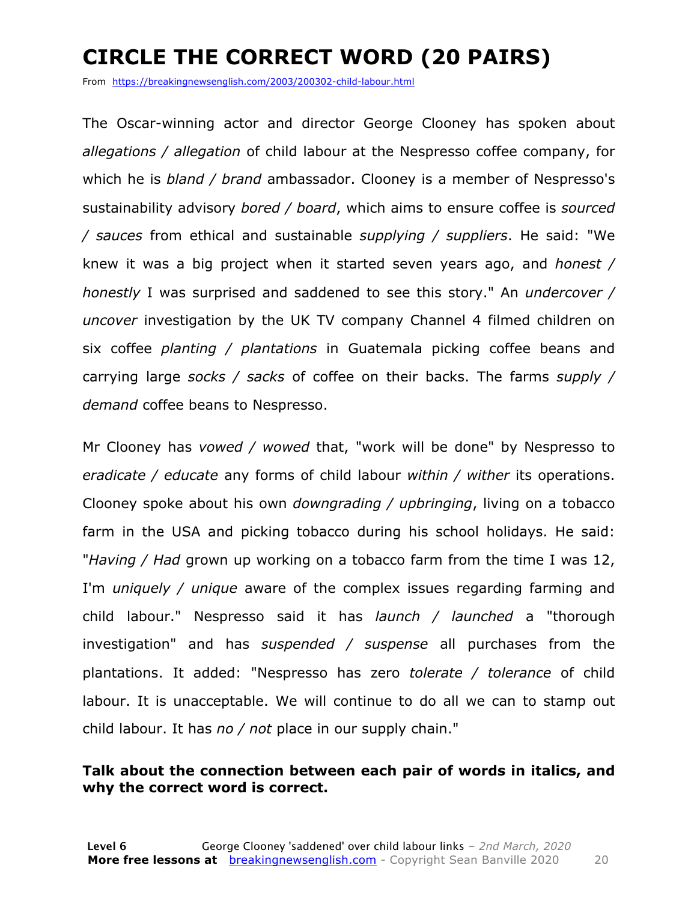### **CIRCLE THE CORRECT WORD (20 PAIRS)**

From https://breakingnewsenglish.com/2003/200302-child-labour.html

The Oscar-winning actor and director George Clooney has spoken about *allegations / allegation* of child labour at the Nespresso coffee company, for which he is *bland / brand* ambassador. Clooney is a member of Nespresso's sustainability advisory *bored / board*, which aims to ensure coffee is *sourced / sauces* from ethical and sustainable *supplying / suppliers*. He said: "We knew it was a big project when it started seven years ago, and *honest / honestly* I was surprised and saddened to see this story." An *undercover / uncover* investigation by the UK TV company Channel 4 filmed children on six coffee *planting / plantations* in Guatemala picking coffee beans and carrying large *socks / sacks* of coffee on their backs. The farms *supply / demand* coffee beans to Nespresso.

Mr Clooney has *vowed / wowed* that, "work will be done" by Nespresso to *eradicate / educate* any forms of child labour *within / wither* its operations. Clooney spoke about his own *downgrading / upbringing*, living on a tobacco farm in the USA and picking tobacco during his school holidays. He said: "*Having / Had* grown up working on a tobacco farm from the time I was 12, I'm *uniquely / unique* aware of the complex issues regarding farming and child labour." Nespresso said it has *launch / launched* a "thorough investigation" and has *suspended / suspense* all purchases from the plantations. It added: "Nespresso has zero *tolerate / tolerance* of child labour. It is unacceptable. We will continue to do all we can to stamp out child labour. It has *no / not* place in our supply chain."

#### **Talk about the connection between each pair of words in italics, and why the correct word is correct.**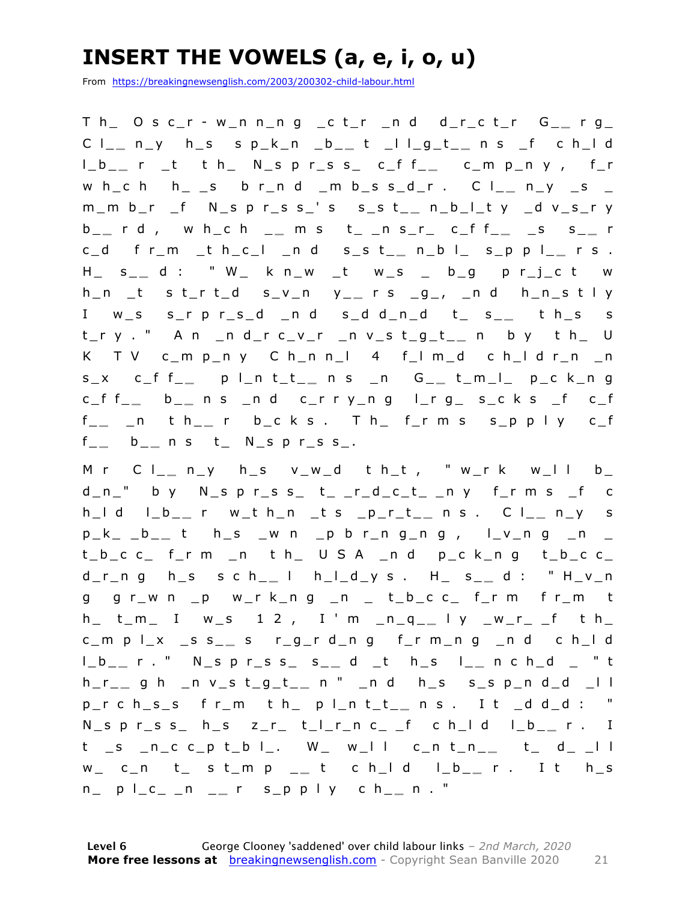### **INSERT THE VOWELS (a, e, i, o, u)**

From https://breakingnewsenglish.com/2003/200302-child-labour.html

T h\_ O s c\_r - w\_n n\_n g \_c t\_r \_n d d\_r\_c t\_r G\_ **\_** r g\_ C l\_ **\_** n\_y h\_s s p\_k\_n \_b\_ **\_** t \_l l\_g\_t\_ **\_** n s \_f c h\_l d l\_b\_ **\_** r \_t t h\_ N\_s p r\_s s\_ c\_f f\_ **\_** c\_m p\_n y , f\_r w h\_c h h\_ \_s b r\_n d \_m b\_s s\_d\_r . C l\_\_ n\_y \_s \_ m\_m b\_r \_f N\_s p r\_s s\_' s s\_s t\_ **\_** n\_b\_l\_t y \_d v\_s\_r y b \_ **\_** r d , w h\_c h \_ **\_** m s t\_ \_n s\_r\_ c\_f f\_ **\_** \_s s\_ **\_** r c\_d f r\_m \_t h\_c\_l \_n d s\_s t\_ **\_** n\_b l\_ s\_p p l\_ **\_** r s . H\_ s\_ **\_** d : " W\_ k n\_w \_t w\_s \_ b\_g p r\_j\_c t w h\_n \_t s t\_r t\_d s\_v\_n y\_ **\_** r s \_g\_, \_n d h\_n\_s t l y I w\_s s\_r p r\_s\_d \_n d s\_d d\_n\_d t\_ s\_ **\_** t h\_s s t\_r y . " A n \_n d\_r c\_v\_r \_n v\_s t\_g\_t\_ **\_** n b y t h\_ U K T V c\_m p\_n y C h\_n n\_l 4 f\_l m\_ d c h\_l d r\_n \_n s\_x c\_f f\_ **\_** p l\_n t\_t\_ **\_** n s \_n G\_ **\_** t\_m\_l\_ p\_c k\_n g c\_f f\_ **\_** b \_ **\_** n s \_n d c\_r r y\_n g l\_r g\_ s\_c k s \_f c\_f f \_ **\_** \_n t h\_ **\_** r b\_c k s . T h\_ f\_r m s s\_p p l y c\_f f \_ **\_** b \_ **\_** n s t\_ N\_s p r\_s s\_.

M r C l\_\_ n\_y h\_s v\_w\_d t h\_t , " w\_r k w\_l l b\_  $d_n$ " by  $N_s$  p r s s t \_ \_ r \_ d \_ c \_ t \_ n y f \_ r m s \_ f c h\_l d l\_b\_ **\_** r w\_t h\_n \_t s \_p\_r\_t\_ **\_** n s . C l\_ **\_** n\_y s p\_k\_ \_b\_ **\_** t h\_s \_w n \_p b r\_n g\_n g , l\_v\_n g \_n \_  $t_b_c c_c$  frm  $n$  th USA  $nd$  p\_ck\_ng t\_b\_c c\_ d\_r\_n g h\_s s c h\_ **\_** l h\_l\_d\_y s . H\_ s\_ **\_** d : " H\_v\_n g g r\_w n \_p w\_r k\_n g \_n \_ t\_b\_c c\_ f\_r m f r\_m t h\_ t\_m\_ I w\_s 1 2 , I ' m \_n\_q\_ **\_** l y \_w\_r\_ \_f t h\_ c\_m p l\_x \_s s\_ **\_** s r\_g\_r d\_n g f\_r m\_n g \_n d c h\_l d l\_b\_ **\_** r . " N\_s p r\_s s\_ s\_ **\_** d \_t h\_s l\_ **\_** n c h\_d \_ " t h\_r\_ **\_** g h \_n v\_s t\_g\_t\_ **\_** n " \_n d h\_s s\_s p\_n d\_d \_l l p\_r c h\_s\_s f r\_m t h\_ p l\_n t\_t\_ **\_** n s . I t \_d d\_d : " N\_s p r \_s s\_ h\_s z\_r\_ t\_l\_r\_n c\_ \_f c h\_l d l\_b\_ **\_** r . I t \_s \_n\_c c\_p t\_b l\_. W\_ w\_l l c\_n t\_n\_ **\_** t\_ d\_ \_l l w\_ c\_n t\_ s t\_m p \_ **\_** t c h\_l d l\_b\_ **\_** r . I t h\_s n\_ p l\_c\_ \_n \_ **\_** r s\_p p l y c h\_ **\_** n . "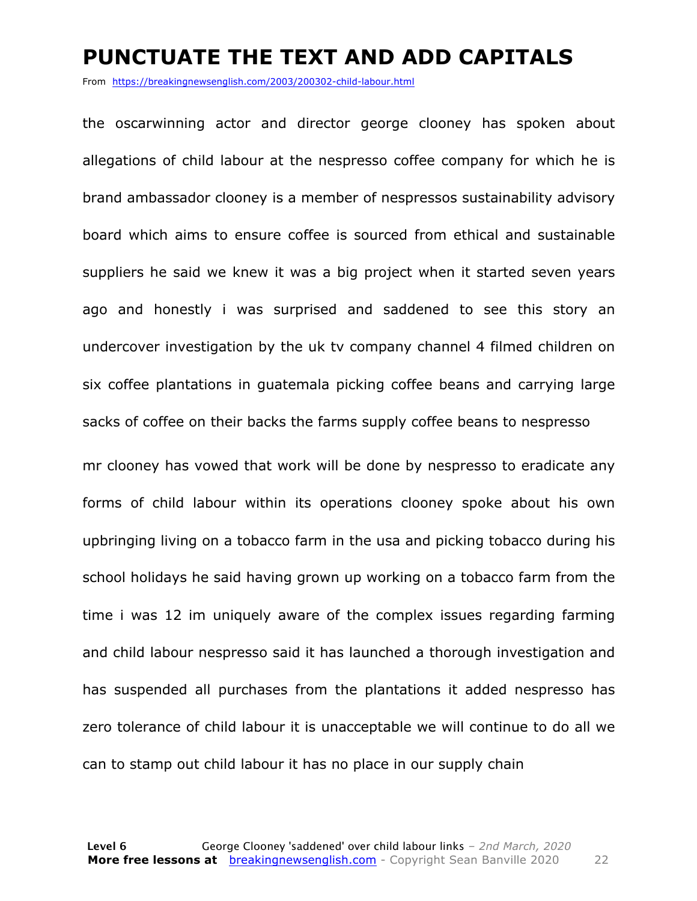#### **PUNCTUATE THE TEXT AND ADD CAPITALS**

From https://breakingnewsenglish.com/2003/200302-child-labour.html

the oscarwinning actor and director george clooney has spoken about allegations of child labour at the nespresso coffee company for which he is brand ambassador clooney is a member of nespressos sustainability advisory board which aims to ensure coffee is sourced from ethical and sustainable suppliers he said we knew it was a big project when it started seven years ago and honestly i was surprised and saddened to see this story an undercover investigation by the uk tv company channel 4 filmed children on six coffee plantations in guatemala picking coffee beans and carrying large sacks of coffee on their backs the farms supply coffee beans to nespresso

mr clooney has vowed that work will be done by nespresso to eradicate any forms of child labour within its operations clooney spoke about his own upbringing living on a tobacco farm in the usa and picking tobacco during his school holidays he said having grown up working on a tobacco farm from the time i was 12 im uniquely aware of the complex issues regarding farming and child labour nespresso said it has launched a thorough investigation and has suspended all purchases from the plantations it added nespresso has zero tolerance of child labour it is unacceptable we will continue to do all we can to stamp out child labour it has no place in our supply chain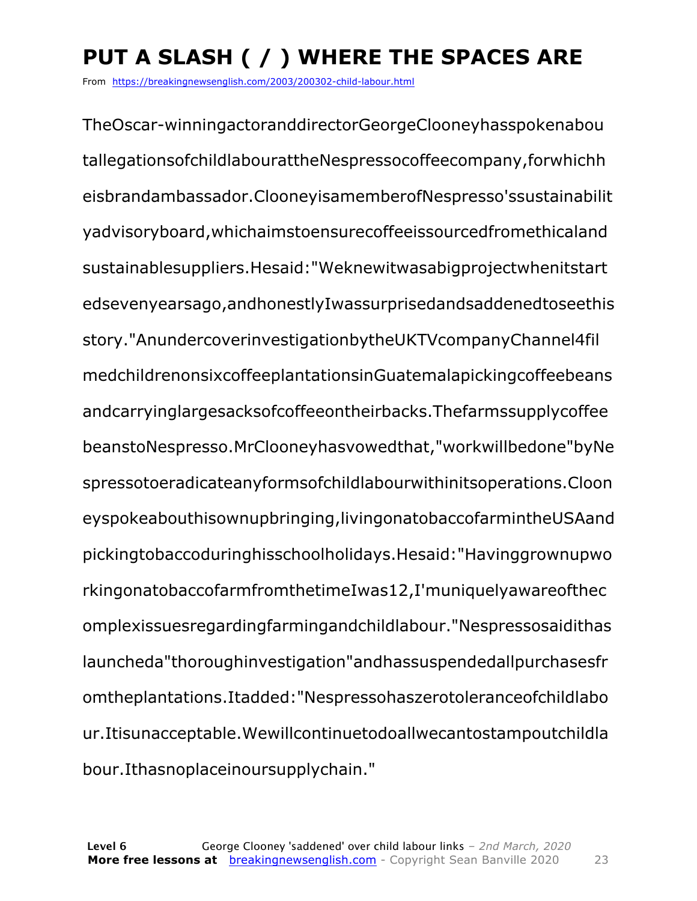### **PUT A SLASH ( / ) WHERE THE SPACES ARE**

From https://breakingnewsenglish.com/2003/200302-child-labour.html

TheOscar-winningactoranddirectorGeorgeClooneyhasspokenabou tallegationsofchildlabourattheNespressocoffeecompany,forwhichh eisbrandambassador.ClooneyisamemberofNespresso'ssustainabilit yadvisoryboard,whichaimstoensurecoffeeissourcedfromethicaland sustainablesuppliers.Hesaid:"Weknewitwasabigprojectwhenitstart edsevenyearsago,andhonestlyIwassurprisedandsaddenedtoseethis story."AnundercoverinvestigationbytheUKTVcompanyChannel4fil medchildrenonsixcoffeeplantationsinGuatemalapickingcoffeebeans andcarryinglargesacksofcoffeeontheirbacks.Thefarmssupplycoffee beanstoNespresso.MrClooneyhasvowedthat,"workwillbedone"byNe spressotoeradicateanyformsofchildlabourwithinitsoperations.Cloon eyspokeabouthisownupbringing,livingonatobaccofarmintheUSAand pickingtobaccoduringhisschoolholidays.Hesaid:"Havinggrownupwo rkingonatobaccofarmfromthetimeIwas12,I'muniquelyawareofthec omplexissuesregardingfarmingandchildlabour."Nespressosaidithas launcheda"thoroughinvestigation"andhassuspendedallpurchasesfr omtheplantations.Itadded:"Nespressohaszerotoleranceofchildlabo ur.Itisunacceptable.Wewillcontinuetodoallwecantostampoutchildla bour.Ithasnoplaceinoursupplychain."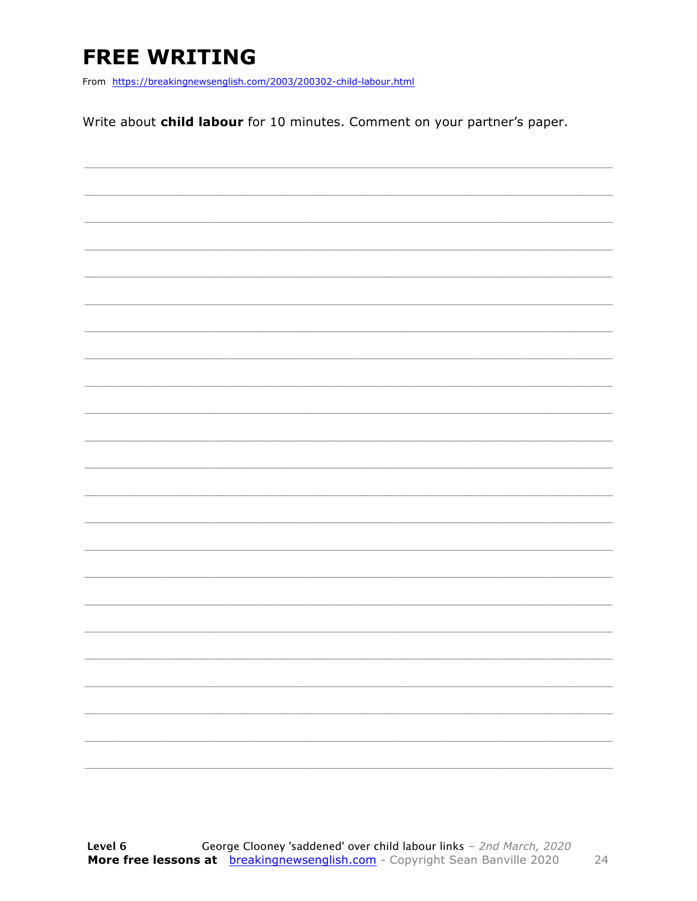### **FREE WRITING**

From https://breakingnewsenglish.com/2003/200302-child-labour.html

Write about child labour for 10 minutes. Comment on your partner's paper.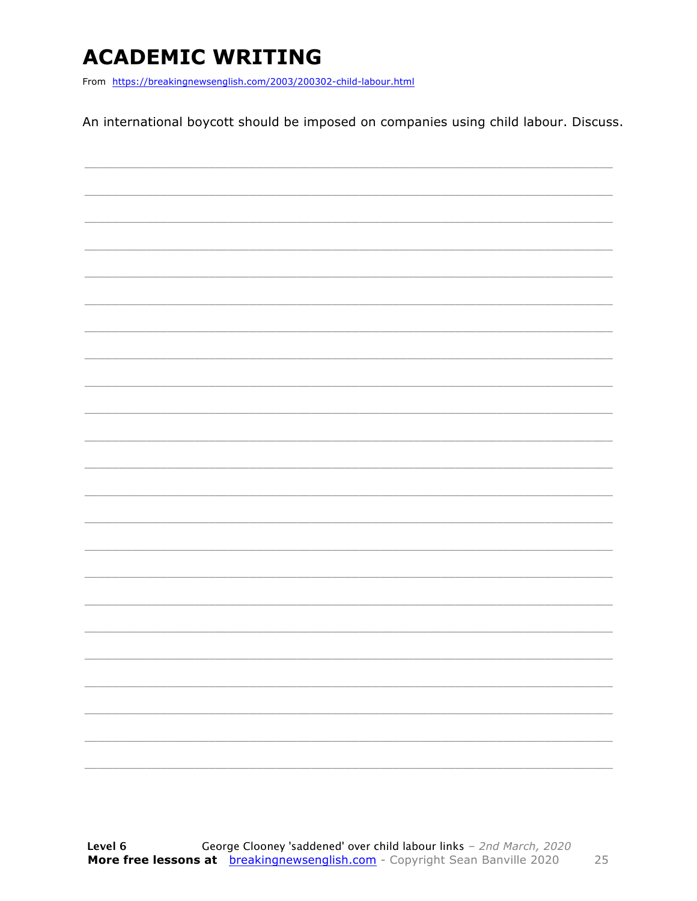### **ACADEMIC WRITING**

From https://breakingnewsenglish.com/2003/200302-child-labour.html

An international boycott should be imposed on companies using child labour. Discuss.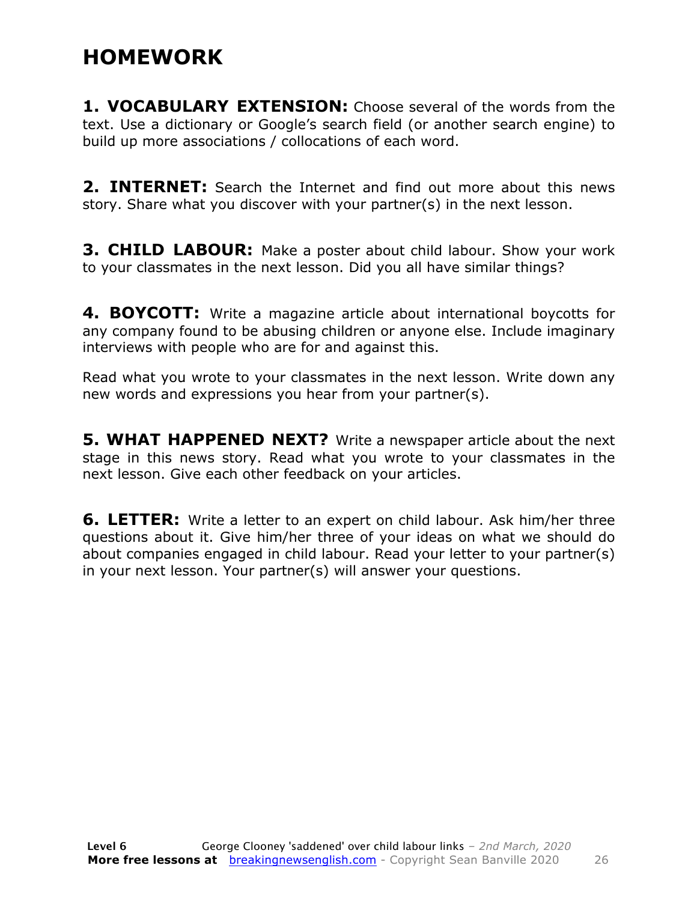### **HOMEWORK**

**1. VOCABULARY EXTENSION:** Choose several of the words from the text. Use a dictionary or Google's search field (or another search engine) to build up more associations / collocations of each word.

**2. INTERNET:** Search the Internet and find out more about this news story. Share what you discover with your partner(s) in the next lesson.

**3. CHILD LABOUR:** Make a poster about child labour. Show your work to your classmates in the next lesson. Did you all have similar things?

**4. BOYCOTT:** Write a magazine article about international boycotts for any company found to be abusing children or anyone else. Include imaginary interviews with people who are for and against this.

Read what you wrote to your classmates in the next lesson. Write down any new words and expressions you hear from your partner(s).

**5. WHAT HAPPENED NEXT?** Write a newspaper article about the next stage in this news story. Read what you wrote to your classmates in the next lesson. Give each other feedback on your articles.

**6. LETTER:** Write a letter to an expert on child labour. Ask him/her three questions about it. Give him/her three of your ideas on what we should do about companies engaged in child labour. Read your letter to your partner(s) in your next lesson. Your partner(s) will answer your questions.